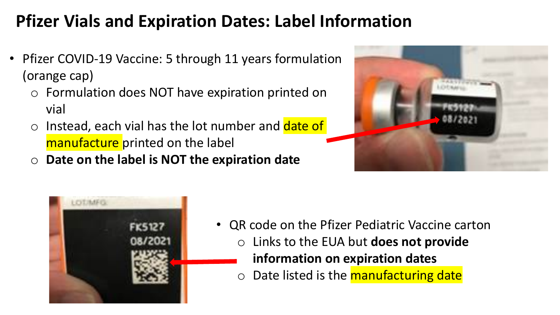## **Pfizer Vials and Expiration Dates: Label Information**

- Pfizer COVID-19 Vaccine: 5 through 11 years formulation (orange cap)
	- o Formulation does NOT have expiration printed on vial
	- o Instead, each vial has the lot number and date of manufacture printed on the label
	- o **Date on the label is NOT the expiration date**





- QR code on the Pfizer Pediatric Vaccine carton
	- o Links to the EUA but **does not provide** 
		- **information on expiration dates**
	- o Date listed is the **manufacturing date**